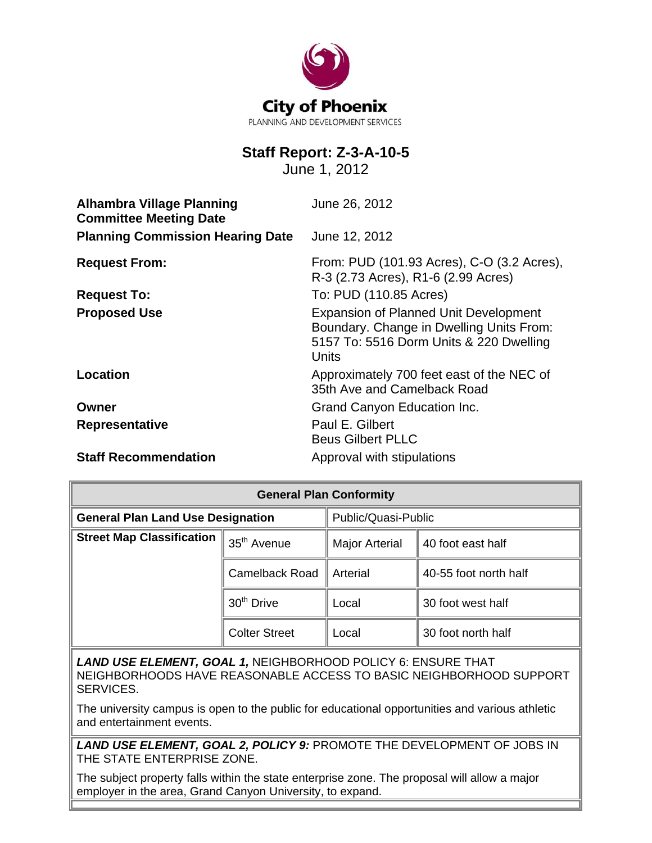

# **Staff Report: Z-3-A-10-5**

June 1, 2012

| <b>Alhambra Village Planning</b><br><b>Committee Meeting Date</b> | June 26, 2012                                                                                                                                |  |
|-------------------------------------------------------------------|----------------------------------------------------------------------------------------------------------------------------------------------|--|
| <b>Planning Commission Hearing Date</b>                           | June 12, 2012                                                                                                                                |  |
| <b>Request From:</b>                                              | From: PUD (101.93 Acres), C-O (3.2 Acres),<br>R-3 (2.73 Acres), R1-6 (2.99 Acres)                                                            |  |
| <b>Request To:</b>                                                | To: PUD (110.85 Acres)                                                                                                                       |  |
| <b>Proposed Use</b>                                               | <b>Expansion of Planned Unit Development</b><br>Boundary. Change in Dwelling Units From:<br>5157 To: 5516 Dorm Units & 220 Dwelling<br>Units |  |
| Location                                                          | Approximately 700 feet east of the NEC of<br>35th Ave and Camelback Road                                                                     |  |
| Owner                                                             | Grand Canyon Education Inc.                                                                                                                  |  |
| <b>Representative</b>                                             | Paul E. Gilbert<br><b>Beus Gilbert PLLC</b>                                                                                                  |  |
| <b>Staff Recommendation</b>                                       | Approval with stipulations                                                                                                                   |  |

| <b>General Plan Conformity</b>           |                         |                       |                       |  |
|------------------------------------------|-------------------------|-----------------------|-----------------------|--|
| <b>General Plan Land Use Designation</b> |                         | Public/Quasi-Public   |                       |  |
| <b>Street Map Classification</b>         | 35 <sup>th</sup> Avenue | <b>Major Arterial</b> | 40 foot east half     |  |
|                                          | <b>Camelback Road</b>   | Arterial              | 40-55 foot north half |  |
|                                          | 30 <sup>th</sup> Drive  | Local                 | 30 foot west half     |  |
|                                          | <b>Colter Street</b>    | Local                 | 30 foot north half    |  |

*LAND USE ELEMENT, GOAL 1,* NEIGHBORHOOD POLICY 6: ENSURE THAT NEIGHBORHOODS HAVE REASONABLE ACCESS TO BASIC NEIGHBORHOOD SUPPORT SERVICES.

The university campus is open to the public for educational opportunities and various athletic and entertainment events.

*LAND USE ELEMENT, GOAL 2, POLICY 9:* PROMOTE THE DEVELOPMENT OF JOBS IN THE STATE ENTERPRISE ZONE.

The subject property falls within the state enterprise zone. The proposal will allow a major employer in the area, Grand Canyon University, to expand.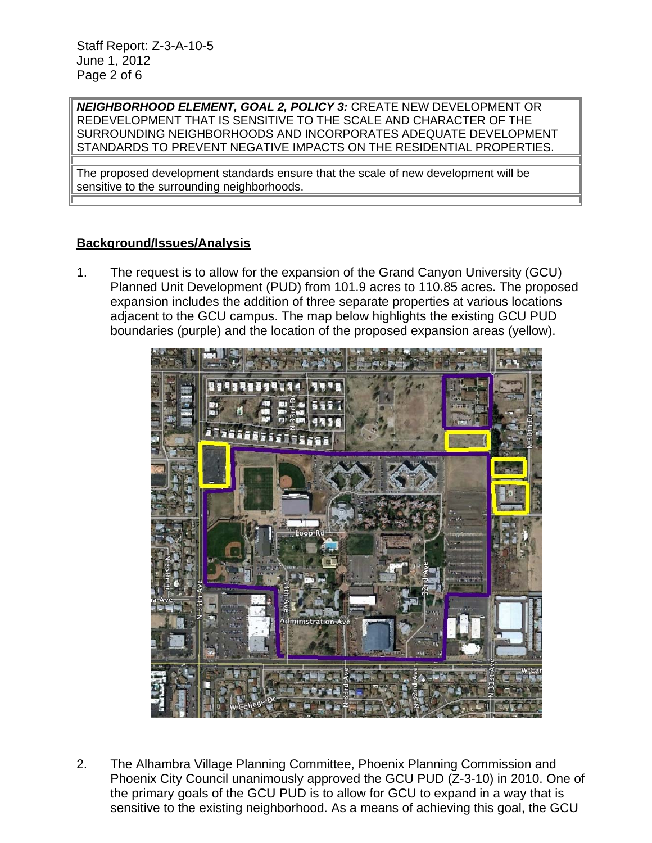Staff Report: Z-3-A-10-5 June 1, 2012 Page 2 of 6

*NEIGHBORHOOD ELEMENT, GOAL 2, POLICY 3:* CREATE NEW DEVELOPMENT OR REDEVELOPMENT THAT IS SENSITIVE TO THE SCALE AND CHARACTER OF THE SURROUNDING NEIGHBORHOODS AND INCORPORATES ADEQUATE DEVELOPMENT STANDARDS TO PREVENT NEGATIVE IMPACTS ON THE RESIDENTIAL PROPERTIES.

The proposed development standards ensure that the scale of new development will be sensitive to the surrounding neighborhoods.

# **Background/Issues/Analysis**

1. The request is to allow for the expansion of the Grand Canyon University (GCU) Planned Unit Development (PUD) from 101.9 acres to 110.85 acres. The proposed expansion includes the addition of three separate properties at various locations adjacent to the GCU campus. The map below highlights the existing GCU PUD boundaries (purple) and the location of the proposed expansion areas (yellow).



2. The Alhambra Village Planning Committee, Phoenix Planning Commission and Phoenix City Council unanimously approved the GCU PUD (Z-3-10) in 2010. One of the primary goals of the GCU PUD is to allow for GCU to expand in a way that is sensitive to the existing neighborhood. As a means of achieving this goal, the GCU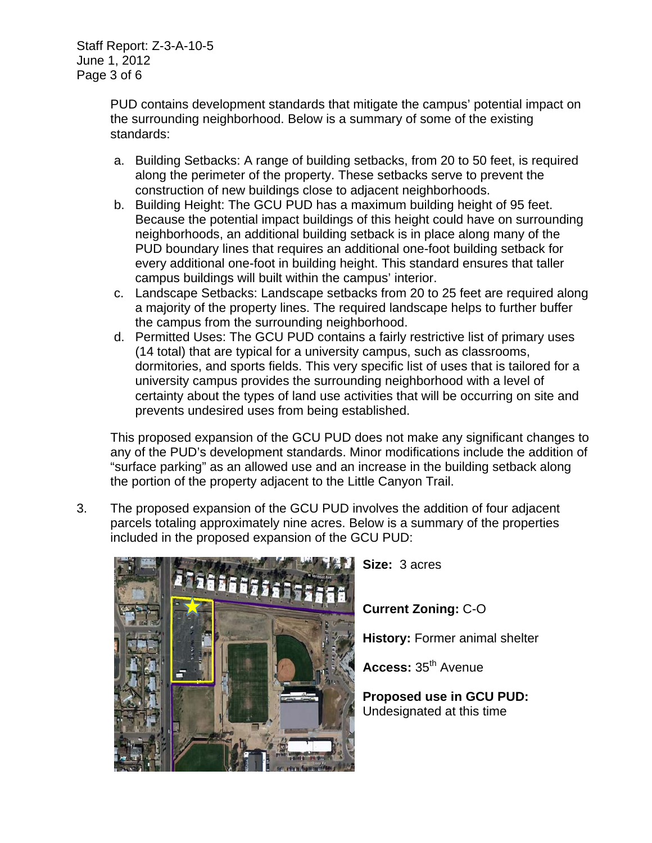PUD contains development standards that mitigate the campus' potential impact on the surrounding neighborhood. Below is a summary of some of the existing standards:

- a. Building Setbacks: A range of building setbacks, from 20 to 50 feet, is required along the perimeter of the property. These setbacks serve to prevent the construction of new buildings close to adjacent neighborhoods.
- b. Building Height: The GCU PUD has a maximum building height of 95 feet. Because the potential impact buildings of this height could have on surrounding neighborhoods, an additional building setback is in place along many of the PUD boundary lines that requires an additional one-foot building setback for every additional one-foot in building height. This standard ensures that taller campus buildings will built within the campus' interior.
- c. Landscape Setbacks: Landscape setbacks from 20 to 25 feet are required along a majority of the property lines. The required landscape helps to further buffer the campus from the surrounding neighborhood.
- d. Permitted Uses: The GCU PUD contains a fairly restrictive list of primary uses (14 total) that are typical for a university campus, such as classrooms, dormitories, and sports fields. This very specific list of uses that is tailored for a university campus provides the surrounding neighborhood with a level of certainty about the types of land use activities that will be occurring on site and prevents undesired uses from being established.

This proposed expansion of the GCU PUD does not make any significant changes to any of the PUD's development standards. Minor modifications include the addition of "surface parking" as an allowed use and an increase in the building setback along the portion of the property adjacent to the Little Canyon Trail.

3. The proposed expansion of the GCU PUD involves the addition of four adjacent parcels totaling approximately nine acres. Below is a summary of the properties included in the proposed expansion of the GCU PUD:



 **Size:** 3 acres

 **Current Zoning:** C-O

 **History:** Former animal shelter

 **Access:** 35th Avenue

 **Proposed use in GCU PUD:** Undesignated at this time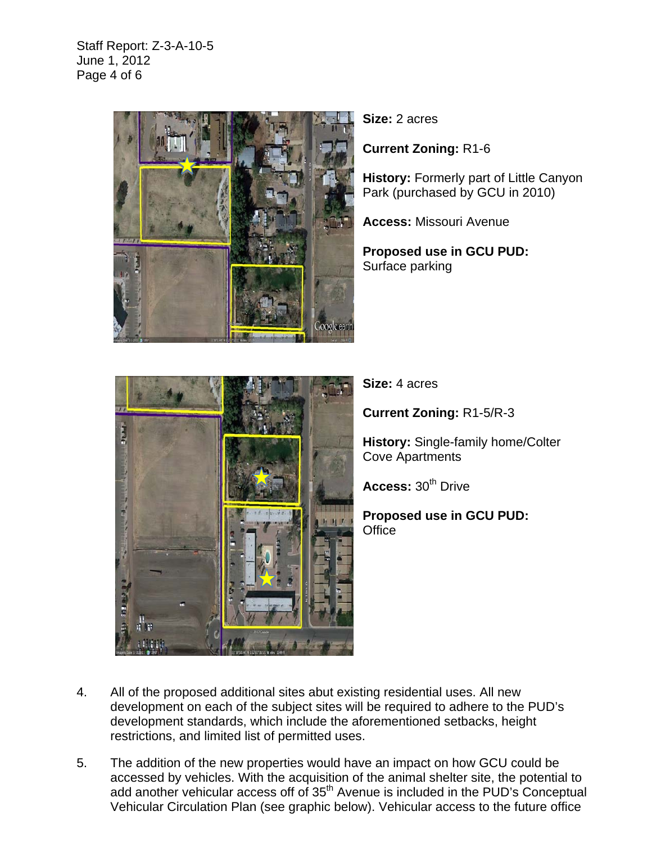Staff Report: Z-3-A-10-5 June 1, 2012 Page 4 of 6



**Size:** 2 acres

**Current Zoning:** R1-6

**History:** Formerly part of Little Canyon Park (purchased by GCU in 2010)

**Access:** Missouri Avenue

**Proposed use in GCU PUD:**  Surface parking



**Size:** 4 acres

**Current Zoning:** R1-5/R-3

**History:** Single-family home/Colter Cove Apartments

**Access: 30<sup>th</sup> Drive** 

**Proposed use in GCU PUD: Office** 

- 4. All of the proposed additional sites abut existing residential uses. All new development on each of the subject sites will be required to adhere to the PUD's development standards, which include the aforementioned setbacks, height restrictions, and limited list of permitted uses.
- 5. The addition of the new properties would have an impact on how GCU could be accessed by vehicles. With the acquisition of the animal shelter site, the potential to add another vehicular access off of 35<sup>th</sup> Avenue is included in the PUD's Conceptual Vehicular Circulation Plan (see graphic below). Vehicular access to the future office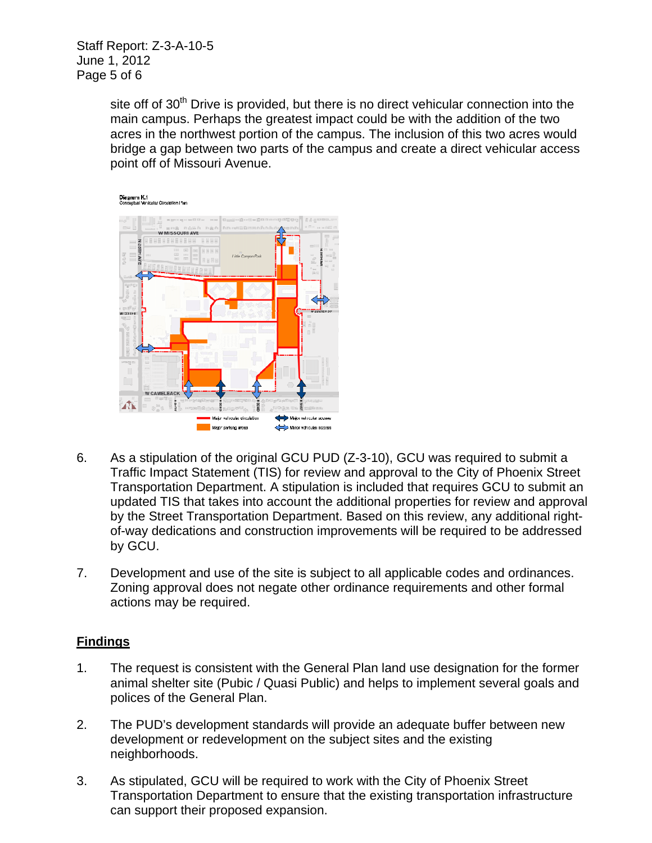Staff Report: Z-3-A-10-5 June 1, 2012 Page 5 of 6

> site off of 30<sup>th</sup> Drive is provided, but there is no direct vehicular connection into the main campus. Perhaps the greatest impact could be with the addition of the two acres in the northwest portion of the campus. The inclusion of this two acres would bridge a gap between two parts of the campus and create a direct vehicular access point off of Missouri Avenue.



- 6. As a stipulation of the original GCU PUD (Z-3-10), GCU was required to submit a Traffic Impact Statement (TIS) for review and approval to the City of Phoenix Street Transportation Department. A stipulation is included that requires GCU to submit an updated TIS that takes into account the additional properties for review and approval by the Street Transportation Department. Based on this review, any additional rightof-way dedications and construction improvements will be required to be addressed by GCU.
- 7. Development and use of the site is subject to all applicable codes and ordinances. Zoning approval does not negate other ordinance requirements and other formal actions may be required.

# **Findings**

- 1. The request is consistent with the General Plan land use designation for the former animal shelter site (Pubic / Quasi Public) and helps to implement several goals and polices of the General Plan.
- 2. The PUD's development standards will provide an adequate buffer between new development or redevelopment on the subject sites and the existing neighborhoods.
- 3. As stipulated, GCU will be required to work with the City of Phoenix Street Transportation Department to ensure that the existing transportation infrastructure can support their proposed expansion.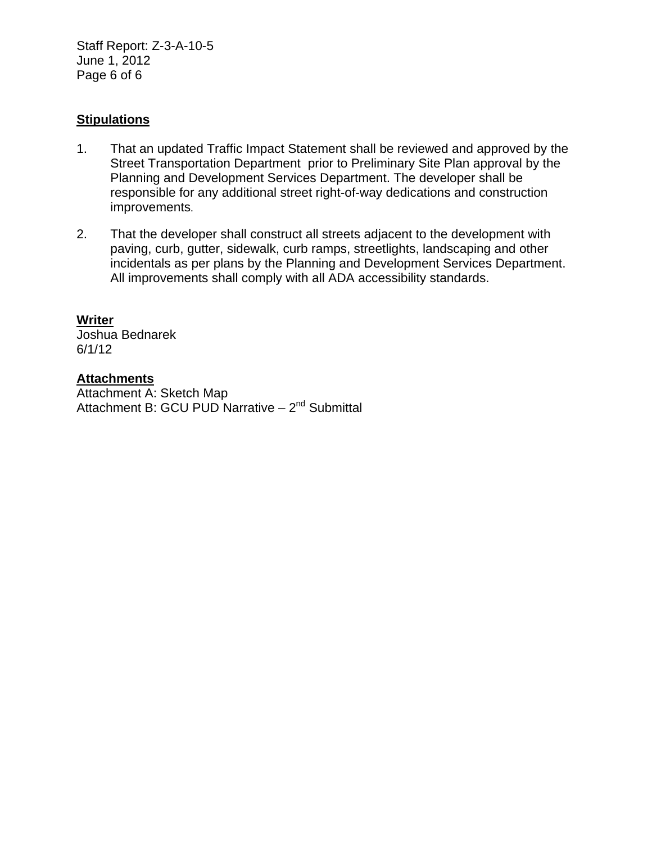Staff Report: Z-3-A-10-5 June 1, 2012 Page 6 of 6

## **Stipulations**

- 1. That an updated Traffic Impact Statement shall be reviewed and approved by the Street Transportation Department prior to Preliminary Site Plan approval by the Planning and Development Services Department. The developer shall be responsible for any additional street right-of-way dedications and construction improvements.
- 2. That the developer shall construct all streets adjacent to the development with paving, curb, gutter, sidewalk, curb ramps, streetlights, landscaping and other incidentals as per plans by the Planning and Development Services Department. All improvements shall comply with all ADA accessibility standards.

#### **Writer**

Joshua Bednarek 6/1/12

### **Attachments**

Attachment A: Sketch Map Attachment B: GCU PUD Narrative – 2<sup>nd</sup> Submittal